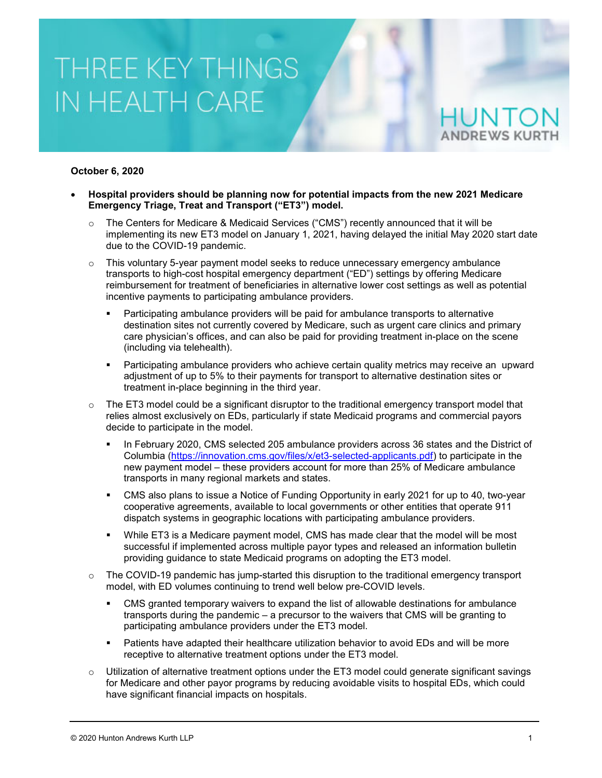#### **October 6, 2020**

- **Hospital providers should be planning now for potential impacts from the new 2021 Medicare Emergency Triage, Treat and Transport ("ET3") model.**
	- $\circ$  The Centers for Medicare & Medicaid Services ("CMS") recently announced that it will be implementing its new ET3 model on January 1, 2021, having delayed the initial May 2020 start date due to the COVID-19 pandemic.
	- $\circ$  This voluntary 5-year payment model seeks to reduce unnecessary emergency ambulance transports to high-cost hospital emergency department ("ED") settings by offering Medicare reimbursement for treatment of beneficiaries in alternative lower cost settings as well as potential incentive payments to participating ambulance providers.
		- Participating ambulance providers will be paid for ambulance transports to alternative destination sites not currently covered by Medicare, such as urgent care clinics and primary care physician's offices, and can also be paid for providing treatment in-place on the scene (including via telehealth).
		- Participating ambulance providers who achieve certain quality metrics may receive an upward adjustment of up to 5% to their payments for transport to alternative destination sites or treatment in-place beginning in the third year.
	- $\circ$  The ET3 model could be a significant disruptor to the traditional emergency transport model that relies almost exclusively on EDs, particularly if state Medicaid programs and commercial payors decide to participate in the model.
		- In February 2020, CMS selected 205 ambulance providers across 36 states and the District of Columbia [\(https://innovation.cms.gov/files/x/et3-selected-applicants.pdf\)](https://innovation.cms.gov/files/x/et3-selected-applicants.pdf) to participate in the new payment model – these providers account for more than 25% of Medicare ambulance transports in many regional markets and states.
		- CMS also plans to issue a Notice of Funding Opportunity in early 2021 for up to 40, two-year cooperative agreements, available to local governments or other entities that operate 911 dispatch systems in geographic locations with participating ambulance providers.
		- While ET3 is a Medicare payment model, CMS has made clear that the model will be most successful if implemented across multiple payor types and released an information bulletin providing guidance to state Medicaid programs on adopting the ET3 model.
	- $\circ$  The COVID-19 pandemic has jump-started this disruption to the traditional emergency transport model, with ED volumes continuing to trend well below pre-COVID levels.
		- CMS granted temporary waivers to expand the list of allowable destinations for ambulance transports during the pandemic – a precursor to the waivers that CMS will be granting to participating ambulance providers under the ET3 model.
		- Patients have adapted their healthcare utilization behavior to avoid EDs and will be more receptive to alternative treatment options under the ET3 model.
	- $\circ$  Utilization of alternative treatment options under the ET3 model could generate significant savings for Medicare and other payor programs by reducing avoidable visits to hospital EDs, which could have significant financial impacts on hospitals.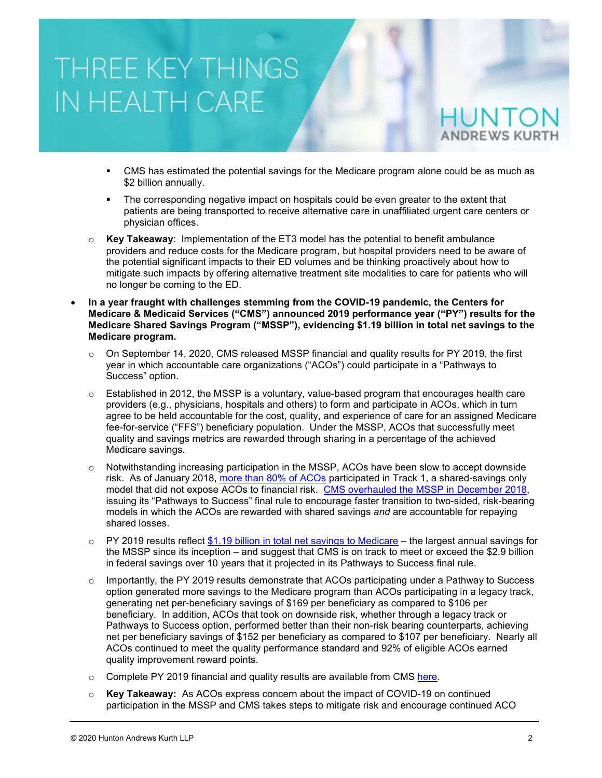- CMS has estimated the potential savings for the Medicare program alone could be as much as \$2 billion annually.
- The corresponding negative impact on hospitals could be even greater to the extent that patients are being transported to receive alternative care in unaffiliated urgent care centers or physician offices.
- o **Key Takeaway**: Implementation of the ET3 model has the potential to benefit ambulance providers and reduce costs for the Medicare program, but hospital providers need to be aware of the potential significant impacts to their ED volumes and be thinking proactively about how to mitigate such impacts by offering alternative treatment site modalities to care for patients who will no longer be coming to the ED.
- **In a year fraught with challenges stemming from the COVID-19 pandemic, the Centers for Medicare & Medicaid Services ("CMS") announced 2019 performance year ("PY") results for the Medicare Shared Savings Program ("MSSP"), evidencing \$1.19 billion in total net savings to the Medicare program.**
	- $\circ$  On September 14, 2020, CMS released MSSP financial and quality results for PY 2019, the first year in which accountable care organizations ("ACOs") could participate in a "Pathways to Success" option.
	- $\circ$  Established in 2012, the MSSP is a voluntary, value-based program that encourages health care providers (e.g., physicians, hospitals and others) to form and participate in ACOs, which in turn agree to be held accountable for the cost, quality, and experience of care for an assigned Medicare fee-for-service ("FFS") beneficiary population. Under the MSSP, ACOs that successfully meet quality and savings metrics are rewarded through sharing in a percentage of the achieved Medicare savings.
	- $\circ$  Notwithstanding increasing participation in the MSSP, ACOs have been slow to accept downside risk. As of January 2018, [more than 80% of ACOs](https://www.cms.gov/medicare/medicare-fee-for-service-payment/sharedsavingsprogram/downloads/ssp-2018-fast-facts.pdf) participated in Track 1, a shared-savings only model that did not expose ACOs to financial risk. [CMS overhauled the MSSP in December 2018,](https://www.cms.gov/newsroom/fact-sheets/final-rule-creates-pathways-success-medicare-shared-savings-program) issuing its "Pathways to Success" final rule to encourage faster transition to two-sided, risk-bearing models in which the ACOs are rewarded with shared savings *and* are accountable for repaying shared losses.
	- $\circ$  PY 2019 results reflect [\\$1.19 billion in total net savings to Medicare](https://www.healthaffairs.org/do/10.1377/hblog20200914.598838/full/) the largest annual savings for the MSSP since its inception – and suggest that CMS is on track to meet or exceed the \$2.9 billion in federal savings over 10 years that it projected in its Pathways to Success final rule.
	- $\circ$  Importantly, the PY 2019 results demonstrate that ACOs participating under a Pathway to Success option generated more savings to the Medicare program than ACOs participating in a legacy track, generating net per-beneficiary savings of \$169 per beneficiary as compared to \$106 per beneficiary. In addition, ACOs that took on downside risk, whether through a legacy track or Pathways to Success option, performed better than their non-risk bearing counterparts, achieving net per beneficiary savings of \$152 per beneficiary as compared to \$107 per beneficiary. Nearly all ACOs continued to meet the quality performance standard and 92% of eligible ACOs earned quality improvement reward points.
	- $\circ$  Complete PY 2019 financial and quality results are available from CMS [here.](https://data.cms.gov/browse?category=Special%20Programs%2FInitiatives%20-%20Medicare%20Shared%20Savings%20Program%20(MSSP))
	- o **Key Takeaway:** As ACOs express concern about the impact of COVID-19 on continued participation in the MSSP and CMS takes steps to mitigate risk and encourage continued ACO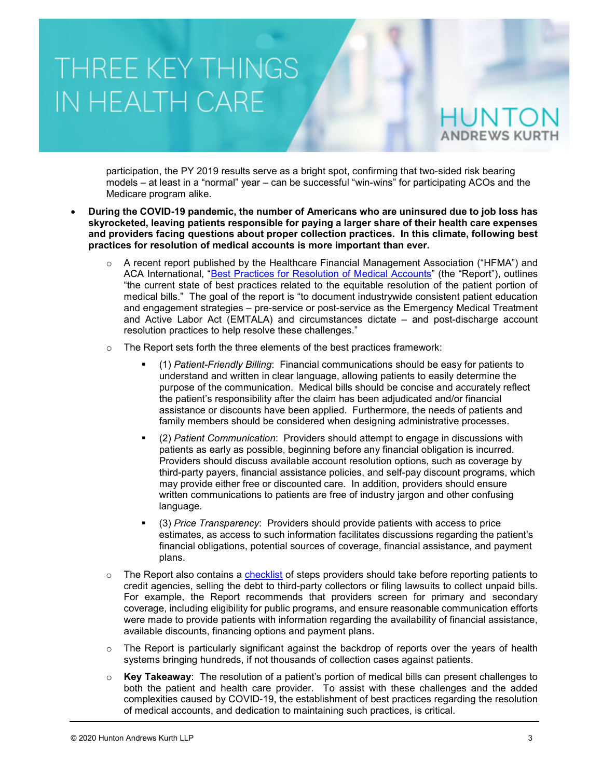participation, the PY 2019 results serve as a bright spot, confirming that two-sided risk bearing models – at least in a "normal" year – can be successful "win-wins" for participating ACOs and the Medicare program alike.

- **During the COVID-19 pandemic, the number of Americans who are uninsured due to job loss has skyrocketed, leaving patients responsible for paying a larger share of their health care expenses and providers facing questions about proper collection practices. In this climate, following best practices for resolution of medical accounts is more important than ever.** 
	- $\circ$  A recent report published by the Healthcare Financial Management Association ("HFMA") and ACA International, ["Best Practices for Resolution of Medical Accounts"](https://www.hfma.org/content/dam/hfma/Documents/industry-initiatives/best-practices-medical-resolution-medical-accounts.pdf) (the "Report"), outlines "the current state of best practices related to the equitable resolution of the patient portion of medical bills." The goal of the report is "to document industrywide consistent patient education and engagement strategies – pre-service or post-service as the Emergency Medical Treatment and Active Labor Act (EMTALA) and circumstances dictate – and post-discharge account resolution practices to help resolve these challenges."
	- $\circ$  The Report sets forth the three elements of the best practices framework:
		- (1) *Patient-Friendly Billing*: Financial communications should be easy for patients to understand and written in clear language, allowing patients to easily determine the purpose of the communication. Medical bills should be concise and accurately reflect the patient's responsibility after the claim has been adjudicated and/or financial assistance or discounts have been applied. Furthermore, the needs of patients and family members should be considered when designing administrative processes.
		- (2) *Patient Communication*: Providers should attempt to engage in discussions with patients as early as possible, beginning before any financial obligation is incurred. Providers should discuss available account resolution options, such as coverage by third-party payers, financial assistance policies, and self-pay discount programs, which may provide either free or discounted care. In addition, providers should ensure written communications to patients are free of industry jargon and other confusing language.
		- (3) *Price Transparency*: Providers should provide patients with access to price estimates, as access to such information facilitates discussions regarding the patient's financial obligations, potential sources of coverage, financial assistance, and payment plans.
	- $\circ$  The Report also contains a [checklist](https://www.hfma.org/content/dam/hfma/Documents/industry-initiatives/steps-prior-initiating-extraordinary-collection-action.pdf) of steps providers should take before reporting patients to credit agencies, selling the debt to third-party collectors or filing lawsuits to collect unpaid bills. For example, the Report recommends that providers screen for primary and secondary coverage, including eligibility for public programs, and ensure reasonable communication efforts were made to provide patients with information regarding the availability of financial assistance, available discounts, financing options and payment plans.
	- $\circ$  The Report is particularly significant against the backdrop of reports over the years of health systems bringing hundreds, if not thousands of collection cases against patients.
	- o **Key Takeaway**: The resolution of a patient's portion of medical bills can present challenges to both the patient and health care provider. To assist with these challenges and the added complexities caused by COVID-19, the establishment of best practices regarding the resolution of medical accounts, and dedication to maintaining such practices, is critical.